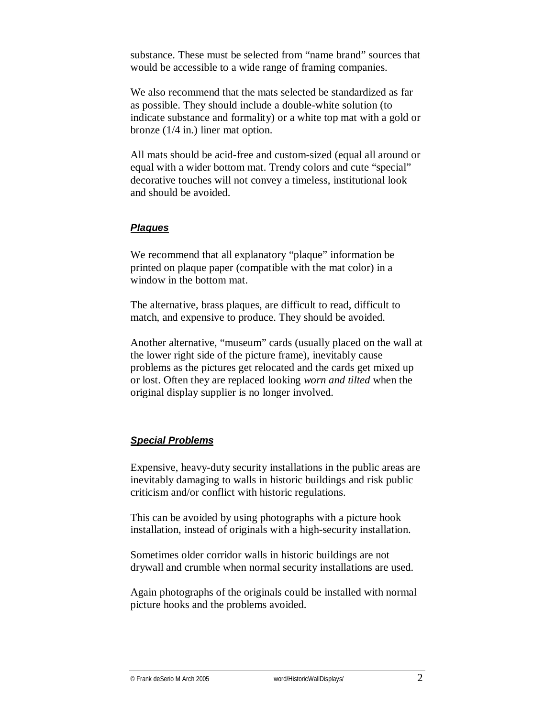substance. These must be selected from "name brand" sources that would be accessible to a wide range of framing companies.

We also recommend that the mats selected be standardized as far as possible. They should include a double-white solution (to indicate substance and formality) or a white top mat with a gold or bronze (1/4 in.) liner mat option.

All mats should be acid-free and custom-sized (equal all around or equal with a wider bottom mat. Trendy colors and cute "special" decorative touches will not convey a timeless, institutional look and should be avoided.

## *Plaques*

We recommend that all explanatory "plaque" information be printed on plaque paper (compatible with the mat color) in a window in the bottom mat.

The alternative, brass plaques, are difficult to read, difficult to match, and expensive to produce. They should be avoided.

Another alternative, "museum" cards (usually placed on the wall at the lower right side of the picture frame), inevitably cause problems as the pictures get relocated and the cards get mixed up or lost. Often they are replaced looking *worn and tilted* when the original display supplier is no longer involved.

## *Special Problems*

Expensive, heavy-duty security installations in the public areas are inevitably damaging to walls in historic buildings and risk public criticism and/or conflict with historic regulations.

This can be avoided by using photographs with a picture hook installation, instead of originals with a high-security installation.

Sometimes older corridor walls in historic buildings are not drywall and crumble when normal security installations are used.

Again photographs of the originals could be installed with normal picture hooks and the problems avoided.